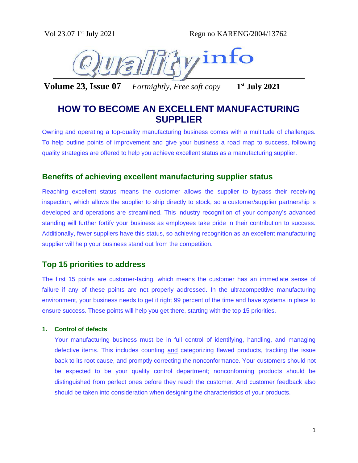

**Volume 23, Issue 07** *Fortnightly, Free soft copy* **1 st July 2021**

# **HOW TO BECOME AN EXCELLENT MANUFACTURING SUPPLIER**

Owning and operating a top-quality manufacturing business comes with a multitude of challenges. To help outline points of improvement and give your business a road map to success, following quality strategies are offered to help you achieve excellent status as a manufacturing supplier.

# **Benefits of achieving excellent manufacturing supplier status**

Reaching excellent status means the customer allows the supplier to bypass their receiving inspection, which allows the supplier to ship directly to stock, so a [customer/supplier partnership](https://www.cmtc.com/blog/how-a-good-networking-strategy-can-grow-your-company) is developed and operations are streamlined. This industry recognition of your company's advanced standing will further fortify your business as employees take pride in their contribution to success. Additionally, fewer suppliers have this status, so achieving recognition as an excellent manufacturing supplier will help your business stand out from the competition.

# **Top 15 priorities to address**

The first 15 points are customer-facing, which means the customer has an immediate sense of failure if any of these points are not properly addressed. In the ultracompetitive manufacturing environment, your business needs to get it right 99 percent of the time and have systems in place to ensure success. These points will help you get there, starting with the top 15 priorities.

# **1. Control of defects**

Your manufacturing business must be in full control of identifying, handling, and managing defective items. This includes counting and categorizing flawed products, tracking the issue back to its root cause, and promptly correcting the nonconformance. Your customers should not be expected to be your quality control department; nonconforming products should be distinguished from perfect ones before they reach the customer. And customer feedback also should be taken into consideration when designing the characteristics of your products.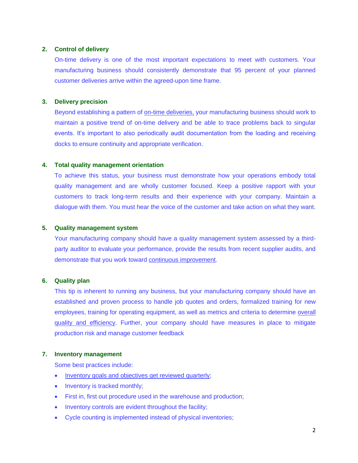# **2. Control of delivery**

On-time delivery is one of the most important expectations to meet with customers. Your manufacturing business should consistently demonstrate that 95 percent of your planned customer deliveries arrive within the agreed-upon time frame.

# **3. Delivery precision**

Beyond establishing a pattern of [on-time deliveries,](https://www.cmtc.com/supply-chain-optimization) your manufacturing business should work to maintain a positive trend of on-time delivery and be able to trace problems back to singular events. It's important to also periodically audit documentation from the loading and receiving docks to ensure continuity and appropriate verification.

### **4. Total quality management orientation**

To achieve this status, your business must demonstrate how your operations embody total quality management and are wholly customer focused. Keep a positive rapport with your customers to track long-term results and their experience with your company. Maintain a dialogue with them. You must hear the voice of the customer and take action on what they want.

### **5. Quality management system**

Your manufacturing company should have a quality management system assessed by a thirdparty auditor to evaluate your performance, provide the results from recent supplier audits, and demonstrate that you work toward [continuous improvement.](https://www.cmtc.com/blog/bid/136040/Continuous-Improvement-The-3-Key-Elements-of-Six-Sigma-Part-1)

# **6. Quality plan**

This tip is inherent to running any business, but your manufacturing company should have an established and proven process to handle job quotes and orders, formalized training for new employees, training for operating equipment, as well as metrics and criteria to determine [overall](https://www.cmtc.com/blog/the-4-quality-management-issues-on-every-manufacturers-mind)  [quality and efficiency.](https://www.cmtc.com/blog/the-4-quality-management-issues-on-every-manufacturers-mind) Further, your company should have measures in place to mitigate production risk and manage customer feedback

# **7. Inventory management**

Some best practices include:

- [Inventory goals and objectives get reviewed quarterly;](https://www.cmtc.com/supply-chain-optimization)
- Inventory is tracked monthly;
- First in, first out procedure used in the warehouse and production;
- Inventory controls are evident throughout the facility;
- Cycle counting is implemented instead of physical inventories;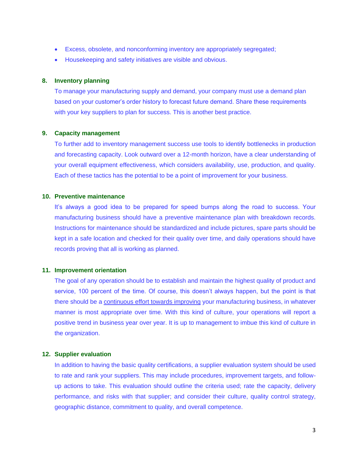- Excess, obsolete, and nonconforming inventory are appropriately segregated;
- Housekeeping and safety initiatives are visible and obvious.

# **8. Inventory planning**

To manage your manufacturing supply and demand, your company must use a demand plan based on your customer's order history to forecast future demand. Share these requirements with your key suppliers to plan for success. This is another best practice.

# **9. Capacity management**

To further add to inventory management success use tools to identify bottlenecks in production and forecasting capacity. Look outward over a 12-month horizon, have a clear understanding of your overall equipment effectiveness, which considers availability, use, production, and quality. Each of these tactics has the potential to be a point of improvement for your business.

### **10. Preventive maintenance**

It's always a good idea to be prepared for speed bumps along the road to success. Your manufacturing business should have a preventive maintenance plan with breakdown records. Instructions for maintenance should be standardized and include pictures, spare parts should be kept in a safe location and checked for their quality over time, and daily operations should have records proving that all is working as planned.

#### **11. Improvement orientation**

The goal of any operation should be to establish and maintain the highest quality of product and service, 100 percent of the time. Of course, this doesn't always happen, but the point is that there should be a [continuous effort towards improving](https://www.cmtc.com/blog/the-benefits-of-adopting-a-continuous-improvement-approach) your manufacturing business, in whatever manner is most appropriate over time. With this kind of culture, your operations will report a positive trend in business year over year. It is up to management to imbue this kind of culture in the organization.

#### **12. Supplier evaluation**

In addition to having the basic quality certifications, a supplier evaluation system should be used to rate and rank your suppliers. This may include procedures, improvement targets, and followup actions to take. This evaluation should outline the criteria used; rate the capacity, delivery performance, and risks with that supplier; and consider their culture, quality control strategy, geographic distance, commitment to quality, and overall competence.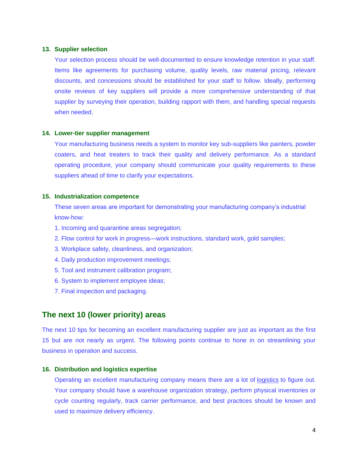#### **13. Supplier selection**

Your selection process should be well-documented to ensure knowledge retention in your staff. Items like agreements for purchasing volume, quality levels, raw material pricing, relevant discounts, and concessions should be established for your staff to follow. Ideally, performing onsite reviews of key suppliers will provide a more comprehensive understanding of that supplier by surveying their operation, building rapport with them, and handling special requests when needed.

#### **14. Lower-tier supplier management**

Your manufacturing business needs a system to monitor key sub-suppliers like painters, powder coaters, and heat treaters to track their quality and delivery performance. As a standard operating procedure, your company should communicate your quality requirements to these suppliers ahead of time to clarify your expectations.

#### **15. Industrialization competence**

These seven areas are important for demonstrating your manufacturing company's industrial know-how:

- 1. Incoming and quarantine areas segregation;
- 2. Flow control for work in progress—work instructions, standard work, gold samples;
- 3. Workplace safety, cleanliness, and organization;
- 4. Daily production improvement meetings;
- 5. Tool and instrument calibration program;
- 6. System to implement employee ideas;
- 7. Final inspection and packaging.

# **The next 10 (lower priority) areas**

The next 10 tips for becoming an excellent manufacturing supplier are just as important as the first 15 but are not nearly as urgent. The following points continue to hone in on streamlining your business in operation and success.

#### **16. Distribution and logistics expertise**

Operating an excellent manufacturing company means there are a lot of [logistics](https://www.cmtc.com/blog/supply-chain-management-and-logistics-whats-the-difference) to figure out. Your company should have a warehouse organization strategy, perform physical inventories or cycle counting regularly, track carrier performance, and best practices should be known and used to maximize delivery efficiency.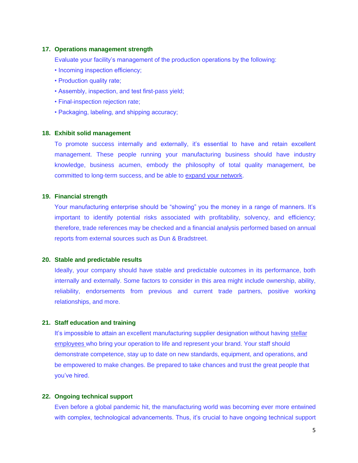#### **17. Operations management strength**

Evaluate your facility's management of the production operations by the following:

- Incoming inspection efficiency;
- Production quality rate;
- Assembly, inspection, and test first-pass yield;
- Final-inspection rejection rate;
- Packaging, labeling, and shipping accuracy;

#### **18. Exhibit solid management**

To promote success internally and externally, it's essential to have and retain excellent management. These people running your manufacturing business should have industry knowledge, business acumen, embody the philosophy of total quality management, be committed to long-term success, and be able to [expand your network.](https://www.cmtc.com/blog/how-a-good-networking-strategy-can-grow-your-company)

#### **19. Financial strength**

Your manufacturing enterprise should be "showing" you the money in a range of manners. It's important to identify potential risks associated with profitability, solvency, and efficiency; therefore, trade references may be checked and a financial analysis performed based on annual reports from external sources such as Dun & Bradstreet.

#### **20. Stable and predictable results**

Ideally, your company should have stable and predictable outcomes in its performance, both internally and externally. Some factors to consider in this area might include ownership, ability, reliability, endorsements from previous and current trade partners, positive working relationships, and more.

#### **21. Staff education and training**

It's impossible to attain an excellent manufacturing supplier designation without having stellar [employees](https://www.cmtc.com/training-within-industry) who bring your operation to life and represent your brand. Your staff should demonstrate competence, stay up to date on new standards, equipment, and operations, and be empowered to make changes. Be prepared to take chances and trust the great people that you've hired.

#### **22. Ongoing technical support**

Even before a global pandemic hit, the manufacturing world was becoming ever more entwined with complex, technological advancements. Thus, it's crucial to have ongoing technical support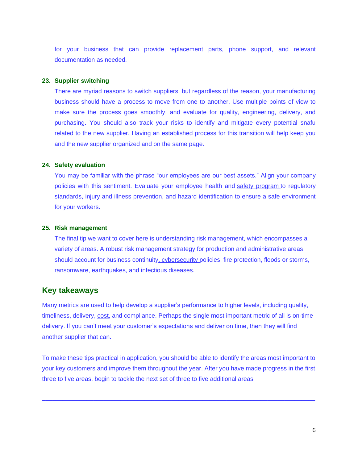for your business that can provide replacement parts, phone support, and relevant documentation as needed.

# **23. Supplier switching**

There are myriad reasons to switch suppliers, but regardless of the reason, your manufacturing business should have a process to move from one to another. Use multiple points of view to make sure the process goes smoothly, and evaluate for quality, engineering, delivery, and purchasing. You should also track your risks to identify and mitigate every potential snafu related to the new supplier. Having an established process for this transition will help keep you and the new supplier organized and on the same page.

#### **24. Safety evaluation**

You may be familiar with the phrase "our employees are our best assets." Align your company policies with this sentiment. Evaluate your employee health and [safety program](https://www.cmtc.com/blog/8-essential-manufacturing-safety-tips) to regulatory standards, injury and illness prevention, and hazard identification to ensure a safe environment for your workers.

#### **25. Risk management**

The final tip we want to cover here is understanding risk management, which encompasses a variety of areas. A robust risk management strategy for production and administrative areas should account for business continuity, cybersecurity policies, fire protection, floods or storms, ransomware, earthquakes, and infectious diseases.

# **Key takeaways**

Many metrics are used to help develop a supplier's performance to higher levels, including quality, timeliness, delivery, [cost,](https://www.cmtc.com/blog/cost-saving-tips-for-manufacturing-companies) and compliance. Perhaps the single most important metric of all is on-time delivery. If you can't meet your customer's expectations and deliver on time, then they will find another supplier that can.

To make these tips practical in application, you should be able to identify the areas most important to your key customers and improve them throughout the year. After you have made progress in the first three to five areas, begin to tackle the next set of three to five additional areas

 $\_$  , and the state of the state of the state of the state of the state of the state of the state of the state of the state of the state of the state of the state of the state of the state of the state of the state of the